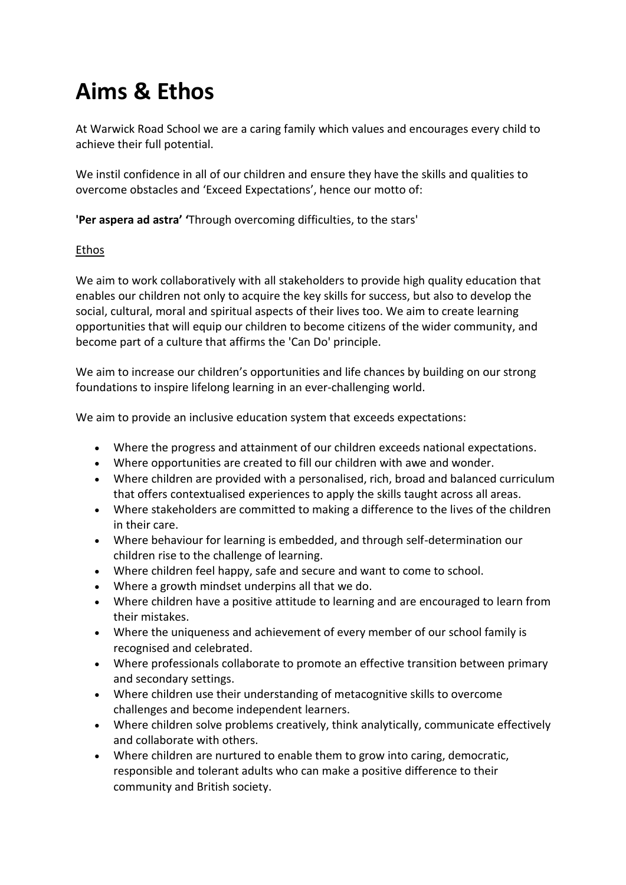## **Aims & Ethos**

At Warwick Road School we are a caring family which values and encourages every child to achieve their full potential.

We instil confidence in all of our children and ensure they have the skills and qualities to overcome obstacles and 'Exceed Expectations', hence our motto of:

**'Per aspera ad astra' '**Through overcoming difficulties, to the stars'

## Ethos

We aim to work collaboratively with all stakeholders to provide high quality education that enables our children not only to acquire the key skills for success, but also to develop the social, cultural, moral and spiritual aspects of their lives too. We aim to create learning opportunities that will equip our children to become citizens of the wider community, and become part of a culture that affirms the 'Can Do' principle.

We aim to increase our children's opportunities and life chances by building on our strong foundations to inspire lifelong learning in an ever-challenging world.

We aim to provide an inclusive education system that exceeds expectations:

- Where the progress and attainment of our children exceeds national expectations.
- Where opportunities are created to fill our children with awe and wonder.
- Where children are provided with a personalised, rich, broad and balanced curriculum that offers contextualised experiences to apply the skills taught across all areas.
- Where stakeholders are committed to making a difference to the lives of the children in their care.
- Where behaviour for learning is embedded, and through self-determination our children rise to the challenge of learning.
- Where children feel happy, safe and secure and want to come to school.
- Where a growth mindset underpins all that we do.
- Where children have a positive attitude to learning and are encouraged to learn from their mistakes.
- Where the uniqueness and achievement of every member of our school family is recognised and celebrated.
- Where professionals collaborate to promote an effective transition between primary and secondary settings.
- Where children use their understanding of metacognitive skills to overcome challenges and become independent learners.
- Where children solve problems creatively, think analytically, communicate effectively and collaborate with others.
- Where children are nurtured to enable them to grow into caring, democratic, responsible and tolerant adults who can make a positive difference to their community and British society.